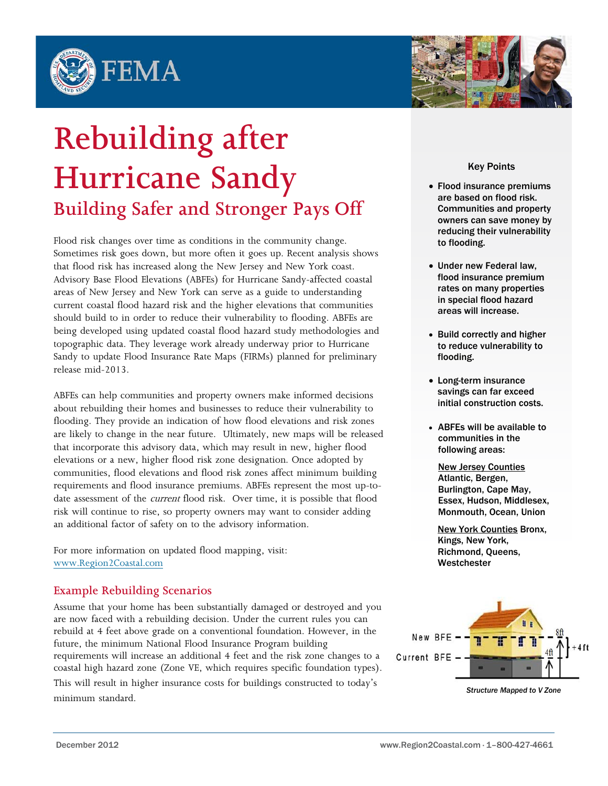



## **Rebuilding after Hurricane Sandy Building Safer and Stronger Pays Off**

Flood risk changes over time as conditions in the community change. Sometimes risk goes down, but more often it goes up. Recent analysis shows that flood risk has increased along the New Jersey and New York coast. Advisory Base Flood Elevations (ABFEs) for Hurricane Sandy-affected coastal areas of New Jersey and New York can serve as a guide to understanding current coastal flood hazard risk and the higher elevations that communities should build to in order to reduce their vulnerability to flooding. ABFEs are being developed using updated coastal flood hazard study methodologies and topographic data. They leverage work already underway prior to Hurricane Sandy to update Flood Insurance Rate Maps (FIRMs) planned for preliminary release mid-2013.

ABFEs can help communities and property owners make informed decisions about rebuilding their homes and businesses to reduce their vulnerability to flooding. They provide an indication of how flood elevations and risk zones are likely to change in the near future. Ultimately, new maps will be released that incorporate this advisory data, which may result in new, higher flood elevations or a new, higher flood risk zone designation. Once adopted by communities, flood elevations and flood risk zones affect minimum building requirements and flood insurance premiums. ABFEs represent the most up-todate assessment of the *current* flood risk. Over time, it is possible that flood risk will continue to rise, so property owners may want to consider adding an additional factor of safety on to the advisory information.

For more information on updated flood mapping, visit: [www.Region2Coastal.com](http://www.region2coastal.com/)

## **Example Rebuilding Scenarios**

Assume that your home has been substantially damaged or destroyed and you are now faced with a rebuilding decision. Under the current rules you can rebuild at 4 feet above grade on a conventional foundation. However, in the future, the minimum National Flood Insurance Program building requirements will increase an additional 4 feet and the risk zone changes to a coastal high hazard zone (Zone VE, which requires specific foundation types).

This will result in higher insurance costs for buildings constructed to today's minimum standard.

Key Points

- Flood insurance premiums are based on flood risk. Communities and property owners can save money by reducing their vulnerability to flooding.
- Under new Federal law, flood insurance premium rates on many properties in special flood hazard areas will increase.
- Build correctly and higher to reduce vulnerability to flooding.
- Long-term insurance savings can far exceed initial construction costs.
- ABFEs will be available to communities in the following areas:

New Jersey Counties Atlantic, Bergen, Burlington, Cape May, Essex, Hudson, Middlesex, Monmouth, Ocean, Union

New York Counties Bronx, Kings, New York, Richmond, Queens, Westchester



*Structure Mapped to V Zone*